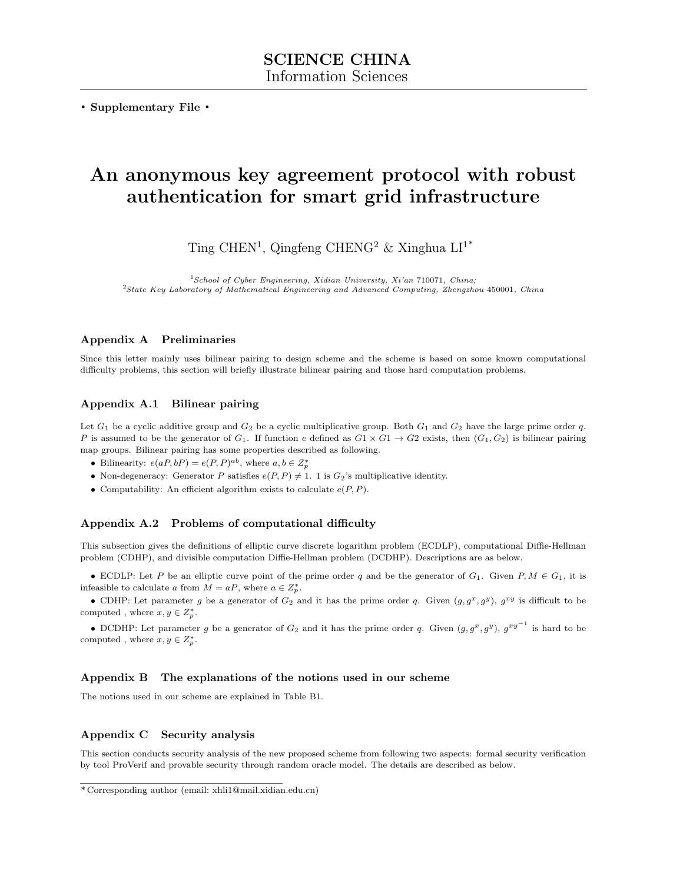. Supplementary File .

# An anonymous key agreement protocol with robust authentication for smart grid infrastructure

Ting CHEN<sup>1</sup>, Qingfeng CHENG<sup>2</sup> & Xinghua  $LI^{1*}$ 

<sup>1</sup>School of Cyber Engineering, Xidian University, Xi'an 710071, China; <sup>2</sup>State Key Laboratory of Mathematical Engineering and Advanced Computing, Zhengzhou 450001, China

#### Appendix A Preliminaries

Since this letter mainly uses bilinear pairing to design scheme and the scheme is based on some known computational difficulty problems, this section will briefly illustrate bilinear pairing and those hard computation problems.

## Appendix A.1 Bilinear pairing

Let  $G_1$  be a cyclic additive group and  $G_2$  be a cyclic multiplicative group. Both  $G_1$  and  $G_2$  have the large prime order q. P is assumed to be the generator of  $G_1$ . If function e defined as  $G_1 \times G_1 \rightarrow G_2$  exists, then  $(G_1, G_2)$  is bilinear pairing map groups. Bilinear pairing has some properties described as following.

- Bilinearity:  $e(aP, bP) = e(P, P)^{ab}$ , where  $a, b \in Z_p^*$
- Non-degeneracy: Generator P satisfies  $e(P, P) \neq 1$ . 1 is  $G_2$ 's multiplicative identity.
- Computability: An efficient algorithm exists to calculate  $e(P, P)$ .

#### Appendix A.2 Problems of computational difficulty

This subsection gives the definitions of elliptic curve discrete logarithm problem (ECDLP), computational Diffie-Hellman problem (CDHP), and divisible computation Diffie-Hellman problem (DCDHP). Descriptions are as below.

• ECDLP: Let P be an elliptic curve point of the prime order q and be the generator of  $G_1$ . Given  $P, M \in G_1$ , it is infeasible to calculate a from  $M = aP$ , where  $a \in Z_p^*$ .

• CDHP: Let parameter g be a generator of  $G_2$  and it has the prime order q. Given  $(g, g^x, g^y)$ ,  $g^{xy}$  is difficult to be computed, where  $x, y \in Z_p^*$ .

• DCDHP: Let parameter g be a generator of  $G_2$  and it has the prime order q. Given  $(g, g^x, g^y), g^{xy^{-1}}$  is hard to be computed, where  $x, y \in Z_p^*$ .

## Appendix B The explanations of the notions used in our scheme

The notions used in our scheme are explained in Table B1.

#### Appendix C Security analysis

This section conducts security analysis of the new proposed scheme from following two aspects: formal security verification by tool ProVerif and provable security through random oracle model. The details are described as below.

<sup>\*</sup> Corresponding author (email: xhli1@mail.xidian.edu.cn)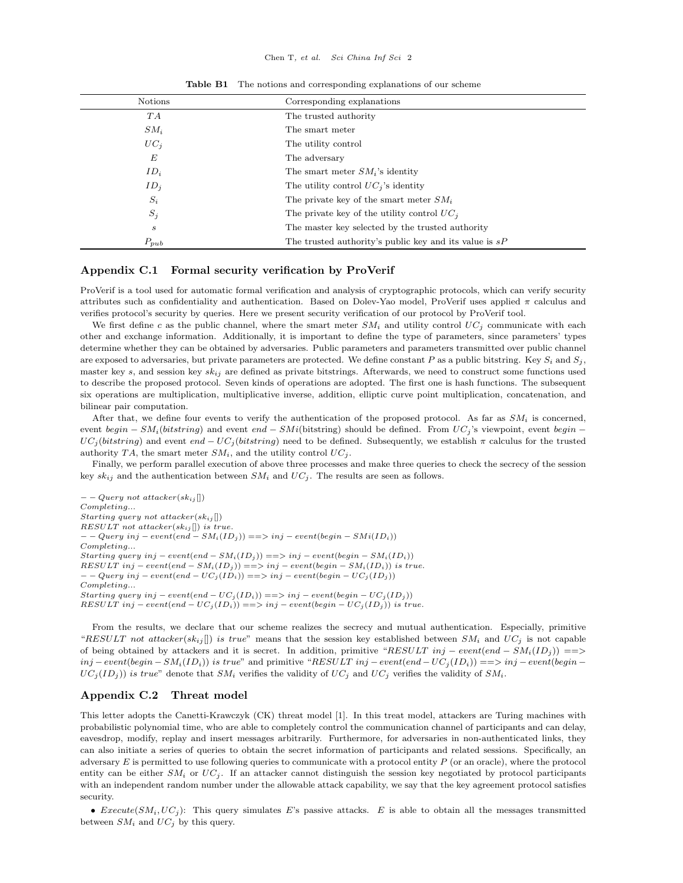| Notions          | Corresponding explanations                               |
|------------------|----------------------------------------------------------|
| TA               | The trusted authority                                    |
| $SM_i$           | The smart meter                                          |
| $UC_i$           | The utility control                                      |
| E                | The adversary                                            |
| $ID_i$           | The smart meter $SM_i$ 's identity                       |
| $ID_i$           | The utility control $UC_i$ 's identity                   |
| $S_i$            | The private key of the smart meter $SM_i$                |
| $S_j$            | The private key of the utility control $UC_i$            |
| $\boldsymbol{s}$ | The master key selected by the trusted authority         |
| $P_{pub}$        | The trusted authority's public key and its value is $sP$ |

Table B1 The notions and corresponding explanations of our scheme

#### Appendix C.1 Formal security verification by ProVerif

ProVerif is a tool used for automatic formal verification and analysis of cryptographic protocols, which can verify security attributes such as confidentiality and authentication. Based on Dolev-Yao model, ProVerif uses applied  $\pi$  calculus and verifies protocol's security by queries. Here we present security verification of our protocol by ProVerif tool.

We first define c as the public channel, where the smart meter  $SM_i$  and utility control  $UC_j$  communicate with each other and exchange information. Additionally, it is important to define the type of parameters, since parameters' types determine whether they can be obtained by adversaries. Public parameters and parameters transmitted over public channel are exposed to adversaries, but private parameters are protected. We define constant P as a public bitstring. Key  $S_i$  and  $S_j$ , master key s, and session key  $sk_{ij}$  are defined as private bitstrings. Afterwards, we need to construct some functions used to describe the proposed protocol. Seven kinds of operations are adopted. The first one is hash functions. The subsequent six operations are multiplication, multiplicative inverse, addition, elliptic curve point multiplication, concatenation, and bilinear pair computation.

After that, we define four events to verify the authentication of the proposed protocol. As far as  $SM_i$  is concerned, event begin – SM<sub>i</sub>(bitstring) and event end – SMi(bitstring) should be defined. From  $UC_j$ 's viewpoint, event begin –  $UC_j(bitsring)$  and event  $end - UC_j(bitsring)$  need to be defined. Subsequently, we establish  $\pi$  calculus for the trusted authority TA, the smart meter  $SM_i$ , and the utility control  $UC_j$ .

Finally, we perform parallel execution of above three processes and make three queries to check the secrecy of the session key  $sk_{ij}$  and the authentication between  $SM_i$  and  $UC_j$ . The results are seen as follows.

 $- -$  Query not attacker(sk<sub>ij</sub> []) Completing... Starting query not attacker $(sk_{ij}[])$ RESULT not attacker( $sk_{ij}$ []) is true.  $- -$  Query inj – event $(\text{end} - SM_i(ID_j)) == > inj - event(begin - SMi(ID_i))$ Completing... Starting query inj – event(end –  $SM_i(ID_i)) == > inj - event(begin - SM_i(ID_i))$ RESULT inj – event $(end - SM_i(ID_j)) == > inj - event(begin - SM_i(ID_i))$  is true.  $-$  Query inj – event $(end - UC_j(ID_i)) == > inj - event(begin - UC_j(ID_j))$ Completing... Starting query inj – event $(end - UC_j(ID_i)) == > inj - event(begin - UC_j(ID_j))$  $RESULT\ inj-event(en_i(D_i)) == > inj-event(begin-UC_j(ID_j))$  is true.

From the results, we declare that our scheme realizes the secrecy and mutual authentication. Especially, primitive "RESULT not attacker(sk<sub>ij</sub>[]) is true" means that the session key established between  $SM_i$  and  $UC_j$  is not capable of being obtained by attackers and it is secret. In addition, primitive "RESULT inj – event(end –  $SM_i(ID_i)$ ) ==>  $inj-event(begin - SM<sub>i</sub>(ID<sub>i</sub>))$  is true" and primitive "RESULT inj – event(end –  $UC<sub>i</sub>(ID<sub>i</sub>)) ==> inj-event(begin - j)$  $UC_j(ID_j])$  is true" denote that  $SM_i$  verifies the validity of  $UC_j$  and  $UC_j$  verifies the validity of  $SM_i$ .

#### Appendix C.2 Threat model

This letter adopts the Canetti-Krawczyk (CK) threat model [\[1\]](#page-4-0). In this treat model, attackers are Turing machines with probabilistic polynomial time, who are able to completely control the communication channel of participants and can delay, eavesdrop, modify, replay and insert messages arbitrarily. Furthermore, for adversaries in non-authenticated links, they can also initiate a series of queries to obtain the secret information of participants and related sessions. Specifically, an adversary  $E$  is permitted to use following queries to communicate with a protocol entity  $P$  (or an oracle), where the protocol entity can be either  $SM_i$  or  $UC_j$ . If an attacker cannot distinguish the session key negotiated by protocol participants with an independent random number under the allowable attack capability, we say that the key agreement protocol satisfies security.

• Execute( $SM_i, UC_j$ ): This query simulates E's passive attacks. E is able to obtain all the messages transmitted between  $SM_i$  and  $UC_j$  by this query.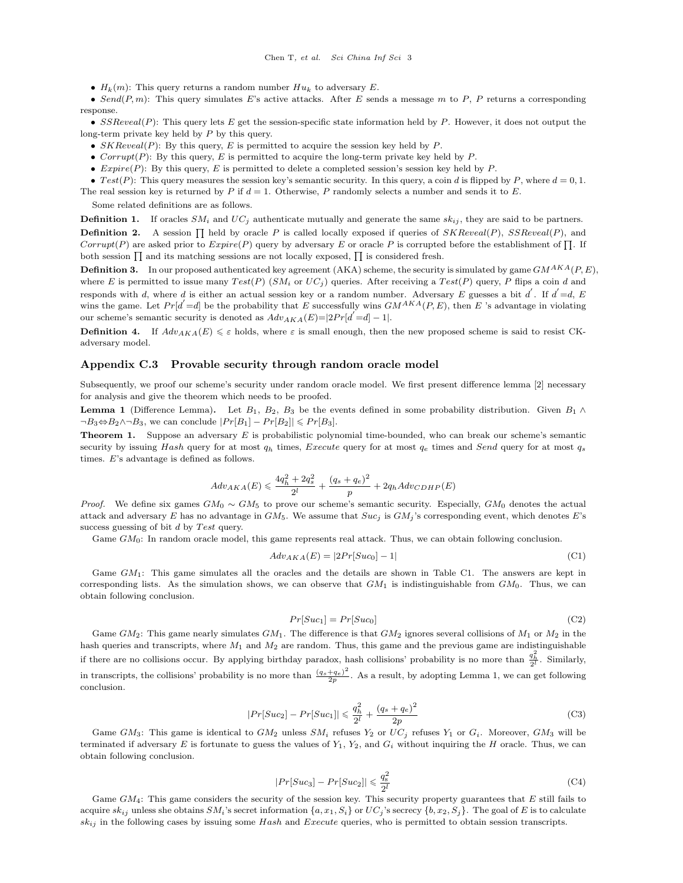•  $H_k(m)$ : This query returns a random number  $Hu_k$  to adversary E.

• Send $(P, m)$ : This query simulates E's active attacks. After E sends a message m to P, P returns a corresponding response.

•  $SSReveal(P)$ : This query lets E get the session-specific state information held by P. However, it does not output the long-term private key held by P by this query.

- $SKReveal(P)$ : By this query, E is permitted to acquire the session key held by P.
- Corrupt(P): By this query, E is permitted to acquire the long-term private key held by  $P$ .
- $<sup>Expire</sup>(P): By this query, E is permitted to delete a completed session's session key held by P.$

• Test(P): This query measures the session key's semantic security. In this query, a coin d is flipped by P, where  $d = 0, 1$ .

The real session key is returned by P if  $d = 1$ . Otherwise, P randomly selects a number and sends it to E.

Some related definitions are as follows.

**Definition 1.** If oracles  $SM_i$  and  $UC_j$  authenticate mutually and generate the same  $sk_{ij}$ , they are said to be partners. **Definition 2.** A session  $\prod$  held by oracle P is called locally exposed if queries of  $SKReveal(P)$ ,  $SSReveal(P)$ , and Corrupt(P) are asked prior to  $Expire(P)$  query by adversary E or oracle P is corrupted before the establishment of  $\Pi$ . If both session  $\prod$  and its matching sessions are not locally exposed,  $\prod$  is considered fresh.

**Definition 3.** In our proposed authenticated key agreement (AKA) scheme, the security is simulated by game  $GM^{AKA}(P, E)$ , where E is permitted to issue many  $Test(P)$  (SM<sub>i</sub> or UC<sub>j</sub>) queries. After receiving a Test(P) query, P flips a coin d and responds with d, where d is either an actual session key or a random number. Adversary E guesses a bit d'. If  $d'$  =d, E wins the game. Let  $Pr[d' = d]$  be the probability that E successfully wins  $GM^{AKA}(P, E)$ , then E's advantage in violating our scheme's semantic security is denoted as  $Adv_{AKA}(E) = |2Pr[d] - 1|$ .

**Definition 4.** If  $Adv_{AKA}(E) \leq \varepsilon$  holds, where  $\varepsilon$  is small enough, then the new proposed scheme is said to resist CKadversary model.

#### Appendix C.3 Provable security through random oracle model

Subsequently, we proof our scheme's security under random oracle model. We first present difference lemma [\[2\]](#page-4-1) necessary for analysis and give the theorem which needs to be proofed.

**Lemma 1** (Difference Lemma). Let  $B_1$ ,  $B_2$ ,  $B_3$  be the events defined in some probability distribution. Given  $B_1 \wedge$  $\neg B_3 \Leftrightarrow B_2 \wedge \neg B_3$ , we can conclude  $|Pr[B_1] - Pr[B_2]| \leqslant Pr[B_3]$ .

**Theorem 1.** Suppose an adversary  $E$  is probabilistic polynomial time-bounded, who can break our scheme's semantic security by issuing Hash query for at most  $q_h$  times, Execute query for at most  $q_e$  times and Send query for at most  $q_s$ times. E's advantage is defined as follows.

$$
Adv_{AKA}(E) \leq \frac{4q_h^2 + 2q_s^2}{2^l} + \frac{(q_s + q_e)^2}{p} + 2q_h Adv_{CDHP}(E)
$$

*Proof.* We define six games  $GM_0 \sim GM_5$  to prove our scheme's semantic security. Especially,  $GM_0$  denotes the actual attack and adversary E has no advantage in  $GM_5$ . We assume that  $Suc_j$  is  $GM_j$ 's corresponding event, which denotes E's success guessing of bit  $d$  by Test query.

Game GM0: In random oracle model, this game represents real attack. Thus, we can obtain following conclusion.

$$
Adv_{AKA}(E) = |2Pr[Suc_0] - 1|
$$
\n(C1)

Game  $GM_1$ : This game simulates all the oracles and the details are shown in Table C1. The answers are kept in corresponding lists. As the simulation shows, we can observe that  $GM_1$  is indistinguishable from  $GM_0$ . Thus, we can obtain following conclusion.

$$
Pr[Suc_1] = Pr[Suc_0]
$$
 (C2)

Game  $GM_2$ : This game nearly simulates  $GM_1$ . The difference is that  $GM_2$  ignores several collisions of  $M_1$  or  $M_2$  in the hash queries and transcripts, where  $M_1$  and  $M_2$  are random. Thus, this game and the previous game are indistinguishable if there are no collisions occur. By applying birthday paradox, hash collisions' probability is no more than  $\frac{q_h^2}{2^l}$ . Similarly, in transcripts, the collisions' probability is no more than  $\frac{(q_s+q_e)^2}{2n}$  $\frac{q_{e}}{2p}$ . As a result, by adopting Lemma 1, we can get following conclusion.

$$
|Pr[Suc_2] - Pr[Suc_1]| \leq \frac{q_h^2}{2^l} + \frac{(q_s + q_e)^2}{2p}
$$
 (C3)

Game  $GM_3$ : This game is identical to  $GM_2$  unless  $SM_i$  refuses  $Y_2$  or  $UC_i$  refuses  $Y_1$  or  $G_i$ . Moreover,  $GM_3$  will be terminated if adversary E is fortunate to guess the values of  $Y_1, Y_2,$  and  $G_i$  without inquiring the H oracle. Thus, we can obtain following conclusion.

$$
|Pr[Suc_3] - Pr[Suc_2]| \leqslant \frac{q_s^2}{2^l} \tag{C4}
$$

Game  $GM_4$ : This game considers the security of the session key. This security property guarantees that  $E$  still fails to acquire  $sk_{ij}$  unless she obtains  $SM_i$ 's secret information  $\{a, x_1, S_i\}$  or  $UC_i$ 's secrecy  $\{b, x_2, S_i\}$ . The goal of E is to calculate  $sk_{ij}$  in the following cases by issuing some Hash and Execute queries, who is permitted to obtain session transcripts.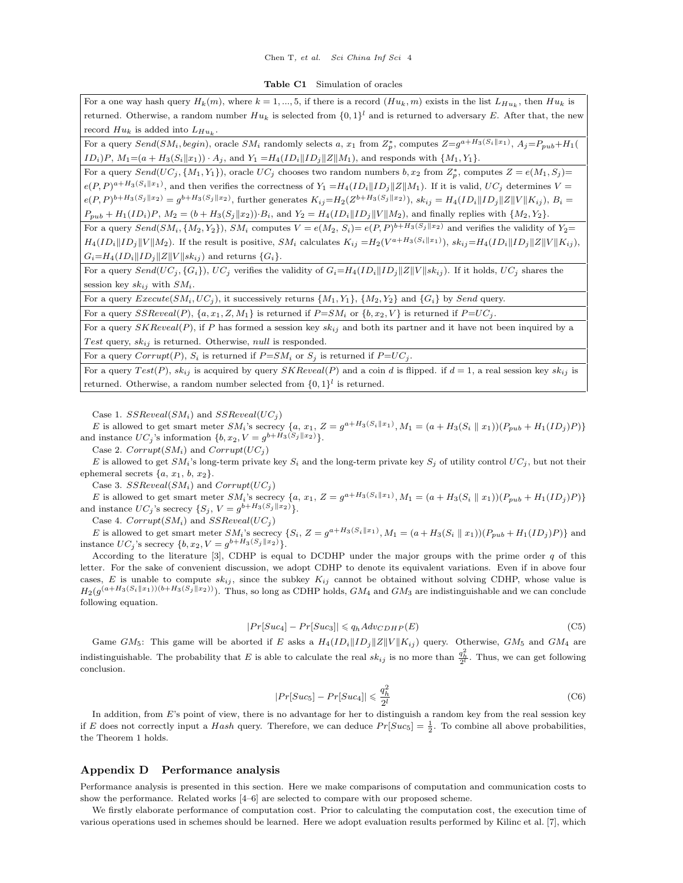Chen T, et al. Sci China Inf Sci 4

Table C1 Simulation of oracles

For a one way hash query  $H_k(m)$ , where  $k = 1, ..., 5$ , if there is a record  $(Hu_k, m)$  exists in the list  $L_{Hu_k}$ , then  $Hu_k$  is returned. Otherwise, a random number  $Hu_k$  is selected from  $\{0,1\}^l$  and is returned to adversary E. After that, the new record  $Hu_k$  is added into  $L_{Hu_k}$ .

For a query  $Send(SM_i, begin)$ , oracle  $SM_i$  randomly selects a,  $x_1$  from  $Z_p^*$ , computes  $Z=g^{a+H_3(S_i||x_1)}, A_j=P_{pub}+H_1(S_i||x_2)$  $ID_i)P$ ,  $M_1=(a + H_3(S_i||x_1)) \cdot A_j$ , and  $Y_1 = H_4(ID_i||ID_j||Z||M_1)$ , and responds with  $\{M_1, Y_1\}$ .

For a query  $Send(UC_j, \{M_1, Y_1\})$ , oracle  $UC_j$  chooses two random numbers  $b, x_2$  from  $Z_p^*$ , computes  $Z = e(M_1, S_j)$  $e(P, P)^{a+H_3(S_i||x_1)}$ , and then verifies the correctness of  $Y_1 = H_4(ID_i||ID_j||Z||M_1)$ . If it is valid,  $UC_j$  determines  $V =$  $e(P, P)^{b+H_3(S_j||x_2)} = g^{b+H_3(S_j||x_2)}$ , further generates  $K_{ij} = H_2(Z^{b+H_3(S_j||x_2)})$ ,  $sk_{ij} = H_4(ID_i||ID_j||Z||V||K_{ij})$ ,  $B_i =$  $P_{pub} + H_1(ID_i)P, M_2 = (b + H_3(S_i||x_2)) \cdot B_i$ , and  $Y_2 = H_4(ID_i||ID_j||V||M_2)$ , and finally replies with  $\{M_2, Y_2\}$ .

For a query  $Send(SM_i, \{M_2, Y_2\}), SM_i$  computes  $V = e(M_2, S_i) = e(P, P)^{b+H_3(S_j||x_2)}$  and verifies the validity of  $Y_2 = e(P, P)$  $H_4(ID_i||ID_j||V||M_2)$ . If the result is positive,  $SM_i$  calculates  $K_{ij} = H_2(V^{a+H_3(S_i||x_1)}),$   $sk_{ij} = H_4(ID_i||ID_j||Z||V||K_{ij}),$  $G_i=H_4(ID_i||ID_j||Z||V||sk_{ij})$  and returns  ${G_i}$ .

For a query  $Send(UC_j, {G_i}), UC_j$  verifies the validity of  $G_i=H_4(ID_i||ID_j||Z||V||sk_{ij})$ . If it holds,  $UC_j$  shares the session key  $sk_{ij}$  with  $SM_i$ .

For a query  $Execute(SM_i, UC_j)$ , it successively returns  $\{M_1, Y_1\}$ ,  $\{M_2, Y_2\}$  and  $\{G_i\}$  by Send query.

For a query  $SSReveal(P)$ ,  $\{a, x_1, Z, M_1\}$  is returned if  $P = SM_i$  or  $\{b, x_2, V\}$  is returned if  $P = UC_j$ .

For a query  $SKReveal(P)$ , if P has formed a session key  $sk_{ij}$  and both its partner and it have not been inquired by a Test query,  $sk_{ij}$  is returned. Otherwise, null is responded.

For a query  $Corrupt(P)$ ,  $S_i$  is returned if  $P = SM_i$  or  $S_j$  is returned if  $P = UC_j$ .

For a query  $Test(P)$ ,  $sk_{ij}$  is acquired by query  $SKReveal(P)$  and a coin d is flipped. if  $d = 1$ , a real session key  $sk_{ij}$  is returned. Otherwise, a random number selected from  $\{0,1\}^l$  is returned.

Case 1.  $SSReveal(SM_i)$  and  $SSReveal(UC_i)$ 

E is allowed to get smart meter  $SM_i$ 's secrecy  $\{a, x_1, Z = g^{a+H_3(S_i || x_1)}, M_1 = (a + H_3(S_i || x_1))(P_{pub} + H_1(ID_j)P)\}$ and instance  $UC_j$ 's information  $\{b, x_2, V = g^{b+H_3(S_j||x_2)}\}.$ 

Case 2.  $Corrupt(SM_i)$  and  $Corrupt(UC_i)$ 

E is allowed to get  $SM_i$ 's long-term private key  $S_i$  and the long-term private key  $S_i$  of utility control  $UC_i$ , but not their ephemeral secrets  $\{a, x_1, b, x_2\}.$ 

Case 3.  $SSReveal(SM_i)$  and  $Corrupt(UC_i)$ 

E is allowed to get smart meter  $SM_i$ 's secrecy  $\{a, x_1, Z = g^{a+H_3(S_i||x_1)}, M_1 = (a + H_3(S_i||x_1))(P_{pub} + H_1(ID_j)P)\}$ and instance  $UC_j$ 's secrecy  $\{S_j, V = g^{b+H_3(S_j||x_2)}\}.$ 

Case 4.  $Corrupt(SM_i)$  and  $SSReveal(UC_i)$ 

E is allowed to get smart meter  $SM_i$ 's secrecy  $\{S_i, Z = g^{a+H_3(S_i||x_1)}, M_1 = (a+H_3(S_i||x_1))(P_{pub}+H_1(ID_j)P)\}$  and instance  $UC_j$ 's secrecy  $\{b, x_2, V = g^{b+H_3(S_j || x_2)}\}.$ 

According to the literature [\[3\]](#page-4-2), CDHP is equal to DCDHP under the major groups with the prime order  $q$  of this letter. For the sake of convenient discussion, we adopt CDHP to denote its equivalent variations. Even if in above four cases, E is unable to compute  $sk_{ij}$ , since the subkey  $K_{ij}$  cannot be obtained without solving CDHP, whose value is  $H_2(g^{(a+H_3(S_i||x_1))(b+H_3(S_j||x_2))})$ . Thus, so long as CDHP holds,  $GM_4$  and  $GM_3$  are indistinguishable and we can conclude following equation.

$$
|Pr[Suc_4] - Pr[Suc_3]| \leq q_h Adv_{CDHP}(E)
$$
\n(C5)

Game GM<sub>5</sub>: This game will be aborted if E asks a  $H_4(ID_i||ID_j||Z||V||K_{ij})$  query. Otherwise, GM<sub>5</sub> and GM<sub>4</sub> are indistinguishable. The probability that E is able to calculate the real  $sk_{ij}$  is no more than  $\frac{q_h^2}{2^l}$ . Thus, we can get following conclusion.

$$
|Pr[Suc_5] - Pr[Suc_4]| \leqslant \frac{q_h^2}{2^l} \tag{C6}
$$

In addition, from E's point of view, there is no advantage for her to distinguish a random key from the real session key if E does not correctly input a Hash query. Therefore, we can deduce  $Pr[Suc_5] = \frac{1}{2}$ . To combine all above probabilities, the Theorem 1 holds.

### Appendix D Performance analysis

Performance analysis is presented in this section. Here we make comparisons of computation and communication costs to show the performance. Related works [\[4](#page-4-3)[–6\]](#page-4-4) are selected to compare with our proposed scheme.

We firstly elaborate performance of computation cost. Prior to calculating the computation cost, the execution time of various operations used in schemes should be learned. Here we adopt evaluation results performed by Kilinc et al. [\[7\]](#page-4-5), which